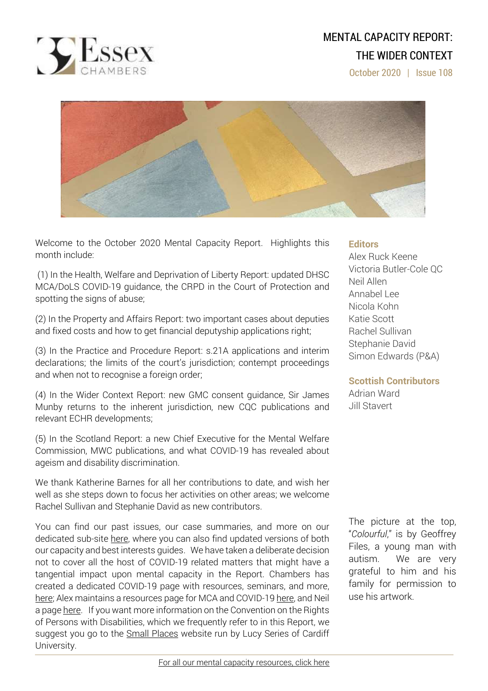

# MENTAL CAPACITY REPORT: THE WIDER CONTEXT

October 2020 | Issue 108



Welcome to the October 2020 Mental Capacity Report. Highlights this month include:

(1) In the Health, Welfare and Deprivation of Liberty Report: updated DHSC MCA/DoLS COVID-19 guidance, the CRPD in the Court of Protection and spotting the signs of abuse;

(2) In the Property and Affairs Report: two important cases about deputies and fixed costs and how to get financial deputyship applications right;

(3) In the Practice and Procedure Report: s.21A applications and interim declarations; the limits of the court's jurisdiction; contempt proceedings and when not to recognise a foreign order;

(4) In the Wider Context Report: new GMC consent guidance, Sir James Munby returns to the inherent jurisdiction, new CQC publications and relevant ECHR developments;

(5) In the Scotland Report: a new Chief Executive for the Mental Welfare Commission, MWC publications, and what COVID-19 has revealed about ageism and disability discrimination.

We thank Katherine Barnes for all her contributions to date, and wish her well as she steps down to focus her activities on other areas; we welcome Rachel Sullivan and Stephanie David as new contributors.

You can find our past issues, our case summaries, and more on our dedicated sub-site [here,](http://www.39essex.com/resources-and-training/mental-capacity-law/) where you can also find updated versions of both our capacity and best interests guides. We have taken a deliberate decision not to cover all the host of COVID-19 related matters that might have a tangential impact upon mental capacity in the Report. Chambers has created a dedicated COVID-19 page with resources, seminars, and more, [here;](https://www.39essex.com/covid-19/) Alex maintains a resources page for MCA and COVID-19 [here,](https://www.mentalcapacitylawandpolicy.org.uk/resources-2/covid-19-and-the-mca-2005/) and Neil a page [here.](https://lpslaw.co.uk/Covid/) If you want more information on the Convention on the Rights of Persons with Disabilities, which we frequently refer to in this Report, we suggest you go to the **Small [Places](https://thesmallplaces.wordpress.com/resources-on-legal-capacity-and-the-united-nations-convention-on-the-rights-of-persons-with-disabilities/new-to-the-un-convention-on-the-rights-of-persons-with-disabilities/)** website run by Lucy Series of Cardiff University.

### **Editors**

Alex Ruck Keene Victoria Butler-Cole QC Neil Allen Annabel Lee Nicola Kohn Katie Scott Rachel Sullivan Stephanie David Simon Edwards (P&A)

### **Scottish Contributors**

Adrian Ward Jill Stavert

The picture at the top, "*Colourful*," is by Geoffrey Files, a young man with autism. We are very grateful to him and his family for permission to use his artwork.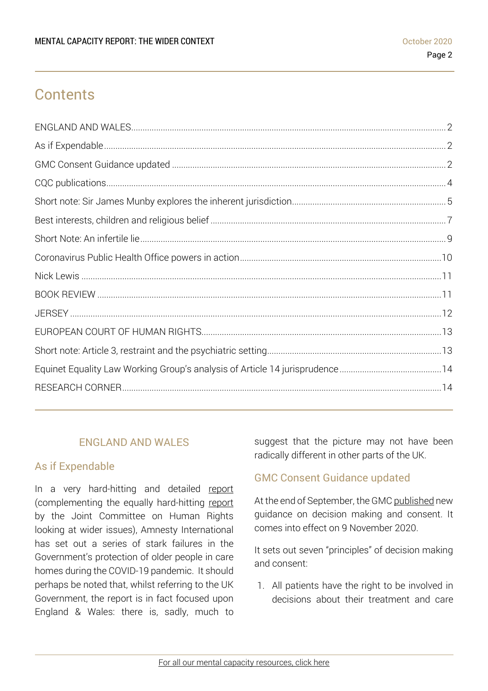# **Contents**

### ENGLAND AND WALES

### <span id="page-1-1"></span><span id="page-1-0"></span>As if Expendable

In a very hard-hitting and detailed [report](https://www.amnesty.org.uk/files/2020-10/Care%20Homes%20Report.pdf?) (complementing the equally hard-hitting [report](https://publications.parliament.uk/pa/jt5801/jtselect/jtrights/265/26502.htm) by the Joint Committee on Human Rights looking at wider issues), Amnesty International has set out a series of stark failures in the Government's protection of older people in care homes during the COVID-19 pandemic. It should perhaps be noted that, whilst referring to the UK Government, the report is in fact focused upon England & Wales: there is, sadly, much to suggest that the picture may not have been radically different in other parts of the UK.

### <span id="page-1-2"></span>GMC Consent Guidance updated

At the end of September, the GMC [published](https://www.gmc-uk.org/ethical-guidance/ethical-guidance-for-doctors/decision-making-and-consent) new guidance on decision making and consent. It comes into effect on 9 November 2020.

It sets out seven "principles" of decision making and consent:

1. All patients have the right to be involved in decisions about their treatment and care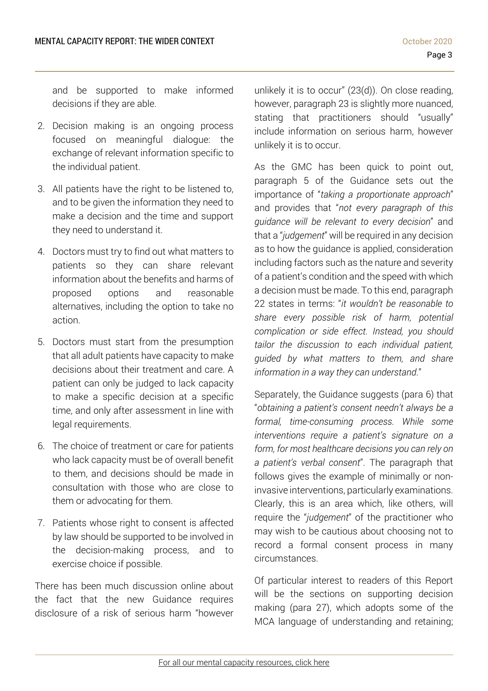and be supported to make informed decisions if they are able.

- 2. Decision making is an ongoing process focused on meaningful dialogue: the exchange of relevant information specific to the individual patient.
- 3. All patients have the right to be listened to, and to be given the information they need to make a decision and the time and support they need to understand it.
- 4. Doctors must try to find out what matters to patients so they can share relevant information about the benefits and harms of proposed options and reasonable alternatives, including the option to take no action.
- 5. Doctors must start from the presumption that all adult patients have capacity to make decisions about their treatment and care. A patient can only be judged to lack capacity to make a specific decision at a specific time, and only after assessment in line with legal requirements.
- 6. The choice of treatment or care for patients who lack capacity must be of overall benefit to them, and decisions should be made in consultation with those who are close to them or advocating for them.
- 7. Patients whose right to consent is affected by law should be supported to be involved in the decision-making process, and to exercise choice if possible.

There has been much discussion online about the fact that the new Guidance requires disclosure of a risk of serious harm "however

unlikely it is to occur" (23(d)). On close reading, however, paragraph 23 is slightly more nuanced, stating that practitioners should "usually" include information on serious harm, however unlikely it is to occur.

As the GMC has been quick to point out, paragraph 5 of the Guidance sets out the importance of "*taking a proportionate approach*" and provides that "*not every paragraph of this guidance will be relevant to every decision*" and that a "*judgement*" will be required in any decision as to how the guidance is applied, consideration including factors such as the nature and severity of a patient's condition and the speed with which a decision must be made. To this end, paragraph 22 states in terms: "*it wouldn't be reasonable to share every possible risk of harm, potential complication or side effect. Instead, you should tailor the discussion to each individual patient, guided by what matters to them, and share information in a way they can understand*."

Separately, the Guidance suggests (para 6) that "*obtaining a patient's consent needn't always be a formal, time-consuming process. While some interventions require a patient's signature on a form, for most healthcare decisions you can rely on a patient's verbal consent*". The paragraph that follows gives the example of minimally or noninvasive interventions, particularly examinations. Clearly, this is an area which, like others, will require the "*judgement*" of the practitioner who may wish to be cautious about choosing not to record a formal consent process in many circumstances.

Of particular interest to readers of this Report will be the sections on supporting decision making (para 27), which adopts some of the MCA language of understanding and retaining;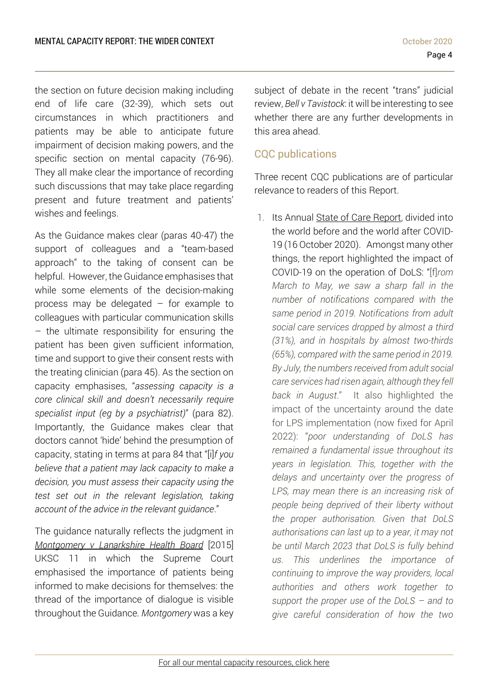the section on future decision making including end of life care (32-39), which sets out circumstances in which practitioners and patients may be able to anticipate future impairment of decision making powers, and the specific section on mental capacity (76-96). They all make clear the importance of recording such discussions that may take place regarding present and future treatment and patients' wishes and feelings.

As the Guidance makes clear (paras 40-47) the support of colleagues and a "team-based approach" to the taking of consent can be helpful. However, the Guidance emphasises that while some elements of the decision-making process may be delegated – for example to colleagues with particular communication skills – the ultimate responsibility for ensuring the patient has been given sufficient information, time and support to give their consent rests with the treating clinician (para 45). As the section on capacity emphasises, "*assessing capacity is a core clinical skill and doesn't necessarily require specialist input (eg by a psychiatrist)*" (para 82). Importantly, the Guidance makes clear that doctors cannot 'hide' behind the presumption of capacity, stating in terms at para 84 that "[i]*f you believe that a patient may lack capacity to make a decision, you must assess their capacity using the test set out in the relevant legislation, taking account of the advice in the relevant guidance*."

The guidance naturally reflects the judgment in *[Montgomery](https://www.39essex.com/cop_cases/montgomery-v-lanarkshire-health-board/) v Lanarkshire Health Board* [2015] UKSC 11 in which the Supreme Court emphasised the importance of patients being informed to make decisions for themselves: the thread of the importance of dialogue is visible throughout the Guidance. *Montgomery* was a key

subject of debate in the recent "trans" judicial review, *Bell v Tavistock*: it will be interesting to see whether there are any further developments in this area ahead.

## <span id="page-3-0"></span>CQC publications

Three recent CQC publications are of particular relevance to readers of this Report.

1. Its Annual State of Care [Report,](https://www.cqc.org.uk/publications/major-report/state-care) divided into the world before and the world after COVID-19 (16 October 2020). Amongst many other things, the report highlighted the impact of COVID-19 on the operation of DoLS: "[f]*rom March to May, we saw a sharp fall in the number of notifications compared with the same period in 2019. Notifications from adult social care services dropped by almost a third (31%), and in hospitals by almost two-thirds (65%), compared with the same period in 2019. By July, the numbers received from adult social care services had risen again, although they fell back in August*." It also highlighted the impact of the uncertainty around the date for LPS implementation (now fixed for April 2022): "*poor understanding of DoLS has remained a fundamental issue throughout its years in legislation. This, together with the delays and uncertainty over the progress of LPS, may mean there is an increasing risk of people being deprived of their liberty without the proper authorisation. Given that DoLS authorisations can last up to a year, it may not be until March 2023 that DoLS is fully behind us. This underlines the importance of continuing to improve the way providers, local authorities and others work together to support the proper use of the DoLS – and to give careful consideration of how the two*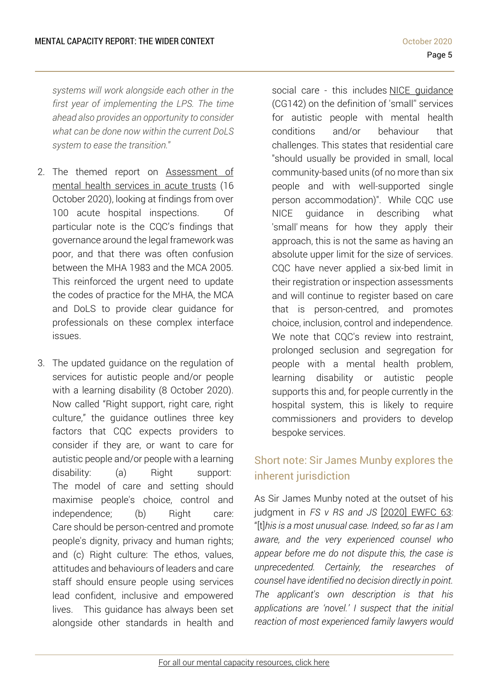*systems will work alongside each other in the first year of implementing the LPS. The time ahead also provides an opportunity to consider what can be done now within the current DoLS system to ease the transition.*"

- 2. The themed report on [Assessment](https://www.cqc.org.uk/publications/themed-work/assessment-mental-health-services-acute-trusts) of mental health [services](https://www.cqc.org.uk/publications/themed-work/assessment-mental-health-services-acute-trusts) in acute trusts (16 October 2020), looking at findings from over 100 acute hospital inspections. Of particular note is the CQC's findings that governance around the legal framework was poor, and that there was often confusion between the MHA 1983 and the MCA 2005. This reinforced the urgent need to update the codes of practice for the MHA, the MCA and DoLS to provide clear guidance for professionals on these complex interface issues.
- 3. The updated [guidance](https://www.cqc.org.uk/news/releases/cqc-updates-guidance-regulation-services-autistic-people-andor-people-learning) on the regulation of services for autistic people and/or people with a learning disability (8 October 2020). Now called "Right support, right care, right culture," the guidance outlines three key factors that CQC expects providers to consider if they are, or want to care for autistic people and/or people with a learning disability: (a) Right support: The model of care and setting should maximise people's choice, control and independence; (b) Right care: Care should be person-centred and promote people's dignity, privacy and human rights; and (c) Right culture: The ethos, values, attitudes and behaviours of leaders and care staff should ensure people using services lead confident, inclusive and empowered lives. This guidance has always been set alongside other standards in health and

social care - this includes NICE [guidance](https://www.nice.org.uk/guidance/cg142) (CG142) on the definition of 'small'' services for autistic people with mental health conditions and/or behaviour that challenges. This states that residential care "should usually be provided in small, local community-based units (of no more than six people and with well-supported single person accommodation)". While CQC use NICE guidance in describing what 'small' means for how they apply their approach, this is not the same as having an absolute upper limit for the size of services. CQC have never applied a six-bed limit in their registration or inspection assessments and will continue to register based on care that is person-centred, and promotes choice, inclusion, control and independence. We note that CQC's review into restraint, prolonged seclusion and segregation for people with a mental health problem, learning disability or autistic people supports this and, for people currently in the hospital system, this is likely to require commissioners and providers to develop bespoke services.

# <span id="page-4-0"></span>Short note: Sir James Munby explores the inherent jurisdiction

As Sir James Munby noted at the outset of his judgment in *FS v RS and JS* [\[2020\]](https://www.bailii.org/ew/cases/EWFC/HCJ/2020/63.html) EWFC 63: "[t]*his is a most unusual case. Indeed, so far as I am aware, and the very experienced counsel who appear before me do not dispute this, the case is unprecedented. Certainly, the researches of counsel have identified no decision directly in point. The applicant's own description is that his applications are 'novel.' I suspect that the initial reaction of most experienced family lawyers would*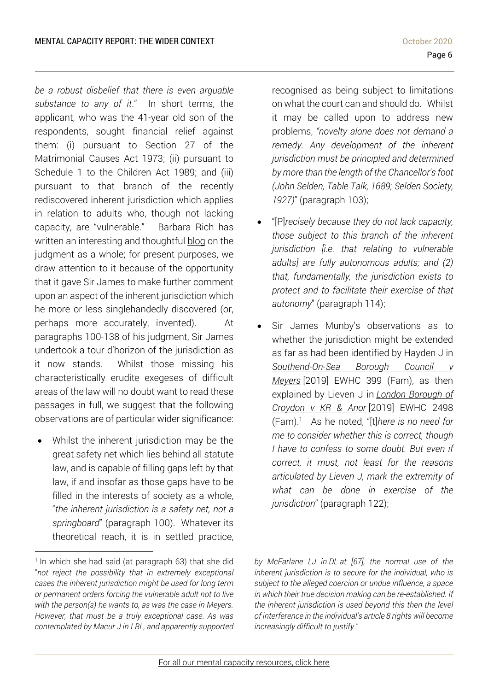*be a robust disbelief that there is even arguable substance to any of it*." In short terms, the applicant, who was the 41-year old son of the respondents, sought financial relief against them: (i) pursuant to Section 27 of the Matrimonial Causes Act 1973; (ii) pursuant to Schedule 1 to the Children Act 1989; and (iii) pursuant to that branch of the recently rediscovered inherent jurisdiction which applies in relation to adults who, though not lacking capacity, are "vulnerable." Barbara Rich has written an interesting and thoughtful [blog](https://medium.com/@abarbararich/the-prodigal-son-in-modern-life-6df8886aaa16) on the judgment as a whole; for present purposes, we draw attention to it because of the opportunity that it gave Sir James to make further comment upon an aspect of the inherent jurisdiction which he more or less singlehandedly discovered (or, perhaps more accurately, invented). At paragraphs 100-138 of his judgment, Sir James undertook a tour d'horizon of the jurisdiction as it now stands. Whilst those missing his characteristically erudite exegeses of difficult areas of the law will no doubt want to read these passages in full, we suggest that the following observations are of particular wider significance:

• Whilst the inherent jurisdiction may be the great safety net which lies behind all statute law, and is capable of filling gaps left by that law, if and insofar as those gaps have to be filled in the interests of society as a whole, "*the inherent jurisdiction is a safety net, not a springboard*" (paragraph 100). Whatever its theoretical reach, it is in settled practice,

recognised as being subject to limitations on what the court can and should do. Whilst it may be called upon to address new problems, *"novelty alone does not demand a remedy. Any development of the inherent jurisdiction must be principled and determined by more than the length of the Chancellor's foot (John Selden, Table Talk, 1689; Selden Society, 1927)*" (paragraph 103);

- "[P]*recisely because they do not lack capacity, those subject to this branch of the inherent jurisdiction [i.e. that relating to vulnerable adults] are fully autonomous adults; and (2) that, fundamentally, the jurisdiction exists to protect and to facilitate their exercise of that autonomy*" (paragraph 114);
- Sir James Munby's observations as to whether the jurisdiction might be extended as far as had been identified by Hayden J in *[Southend-On-Sea](https://www.39essex.com/cop_cases/southend-on-sea-borough-council-v-meyers/) Borough Council v [Meyers](https://www.39essex.com/cop_cases/southend-on-sea-borough-council-v-meyers/)* [2019] EWHC 399 (Fam), as then explained by Lieven J in *London [Borough](https://www.39essex.com/cop_cases/mayor-and-burgesses-of-the-london-borough-of-croydon-v-1-kr-and-2-st/) of [Croydon](https://www.39essex.com/cop_cases/mayor-and-burgesses-of-the-london-borough-of-croydon-v-1-kr-and-2-st/) v KR & Anor* [2019] EWHC 2498 (Fam).<sup>1</sup> As he noted, "[t]*here is no need for me to consider whether this is correct, though I have to confess to some doubt. But even if correct, it must, not least for the reasons articulated by Lieven J, mark the extremity of what can be done in exercise of the jurisdiction*" (paragraph 122);

<sup>&</sup>lt;sup>1</sup> In which she had said (at paragraph 63) that she did "*not reject the possibility that in extremely exceptional cases the inherent jurisdiction might be used for long term or permanent orders forcing the vulnerable adult not to live with the person(s) he wants to, as was the case in Meyers. However, that must be a truly exceptional case. As was contemplated by Macur J in LBL, and apparently supported*

*by McFarlane LJ in DL at [67], the normal use of the inherent jurisdiction is to secure for the individual, who is subject to the alleged coercion or undue influence, a space in which their true decision making can be re-established. If the inherent jurisdiction is used beyond this then the level of interference in the individual's article 8 rights will become increasingly difficult to justify*."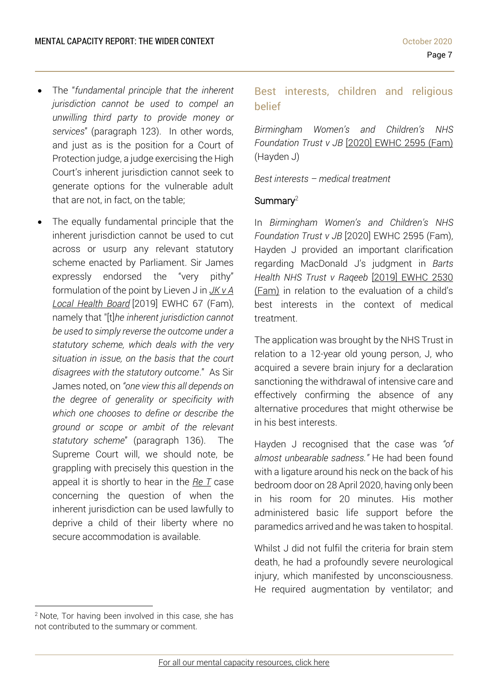- The "*fundamental principle that the inherent jurisdiction cannot be used to compel an unwilling third party to provide money or services*" (paragraph 123). In other words, and just as is the position for a Court of Protection judge, a judge exercising the High Court's inherent jurisdiction cannot seek to generate options for the vulnerable adult that are not, in fact, on the table;
- The equally fundamental principle that the inherent jurisdiction cannot be used to cut across or usurp any relevant statutory scheme enacted by Parliament. Sir James expressly endorsed the "very pithy" formulation of the point by Lieven J in *[JK](https://www.39essex.com/cop_cases/jk-v-a-local-health-board/) v A Local [Health](https://www.39essex.com/cop_cases/jk-v-a-local-health-board/) Board* [2019] EWHC 67 (Fam), namely that "[t]*he inherent jurisdiction cannot be used to simply reverse the outcome under a statutory scheme, which deals with the very situation in issue, on the basis that the court disagrees with the statutory outcome*." As Sir James noted, on *"one view this all depends on the degree of generality or specificity with which one chooses to define or describe the ground or scope or ambit of the relevant statutory scheme*" (paragraph 136). The Supreme Court will, we should note, be grappling with precisely this question in the appeal it is shortly to hear in the *[Re](https://www.supremecourt.uk/cases/uksc-2019-0188.html) T* case concerning the question of when the inherent jurisdiction can be used lawfully to deprive a child of their liberty where no secure accommodation is available.

<span id="page-6-0"></span>Best interests, children and religious belief

*Birmingham Women's and Children's NHS Foundation Trust v JB* [2020] [EWHC](https://www.bailii.org/ew/cases/EWHC/Fam/2020/2595.html) 2595 (Fam) (Hayden J)

*Best interests – medical treatment*

### Summary $^2$

In *Birmingham Women's and Children's NHS Foundation Trust v JB* [2020] EWHC 2595 (Fam), Hayden J provided an important clarification regarding MacDonald J's judgment in *Barts Health NHS Trust v Raqeeb* [2019] [EWHC](https://www.bailii.org/ew/cases/EWHC/Fam/2019/2530.html) 2530 [\(Fam\)](https://www.bailii.org/ew/cases/EWHC/Fam/2019/2530.html) in relation to the evaluation of a child's best interests in the context of medical treatment.

The application was brought by the NHS Trust in relation to a 12-year old young person, J, who acquired a severe brain injury for a declaration sanctioning the withdrawal of intensive care and effectively confirming the absence of any alternative procedures that might otherwise be in his best interests.

Hayden J recognised that the case was *"of almost unbearable sadness."* He had been found with a ligature around his neck on the back of his bedroom door on 28 April 2020, having only been in his room for 20 minutes. His mother administered basic life support before the paramedics arrived and he was taken to hospital.

Whilst J did not fulfil the criteria for brain stem death, he had a profoundly severe neurological injury, which manifested by unconsciousness. He required augmentation by ventilator; and

<sup>&</sup>lt;sup>2</sup> Note, Tor having been involved in this case, she has not contributed to the summary or comment.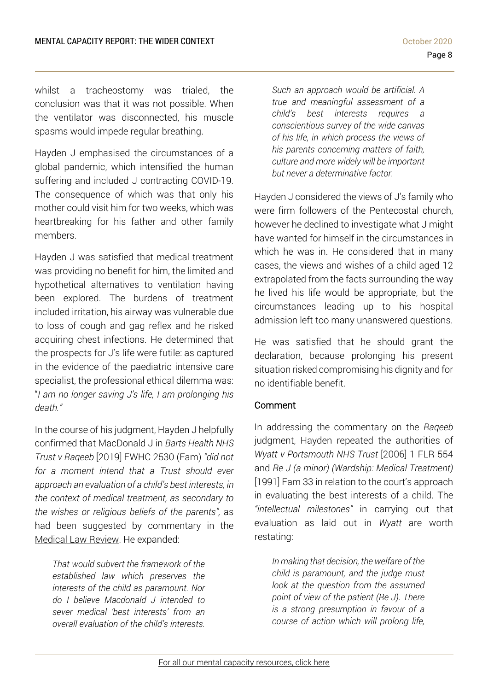whilst a tracheostomy was trialed, the conclusion was that it was not possible. When the ventilator was disconnected, his muscle spasms would impede regular breathing.

Hayden J emphasised the circumstances of a global pandemic, which intensified the human suffering and included J contracting COVID-19. The consequence of which was that only his mother could visit him for two weeks, which was heartbreaking for his father and other family members.

Hayden J was satisfied that medical treatment was providing no benefit for him, the limited and hypothetical alternatives to ventilation having been explored. The burdens of treatment included irritation, his airway was vulnerable due to loss of cough and gag reflex and he risked acquiring chest infections. He determined that the prospects for J's life were futile: as captured in the evidence of the paediatric intensive care specialist, the professional ethical dilemma was: "*I am no longer saving J's life, I am prolonging his death."*

In the course of his judgment, Hayden J helpfully confirmed that MacDonald J in *Barts Health NHS Trust v Raqeeb* [2019] EWHC 2530 (Fam) *"did not for a moment intend that a Trust should ever approach an evaluation of a child's best interests, in the context of medical treatment, as secondary to the wishes or religious beliefs of the parents",* as had been suggested by commentary in the [Medical](https://academic.oup.com/medlaw/article-abstract/28/1/183/5680034?redirectedFrom=fulltext) Law Review. He expanded:

*That would subvert the framework of the established law which preserves the interests of the child as paramount. Nor do I believe Macdonald J intended to sever medical 'best interests' from an overall evaluation of the child's interests.* 

*Such an approach would be artificial. A true and meaningful assessment of a child's best interests requires a conscientious survey of the wide canvas of his life, in which process the views of his parents concerning matters of faith, culture and more widely will be important but never a determinative factor.*

Hayden J considered the views of J's family who were firm followers of the Pentecostal church, however he declined to investigate what J might have wanted for himself in the circumstances in which he was in. He considered that in many cases, the views and wishes of a child aged 12 extrapolated from the facts surrounding the way he lived his life would be appropriate, but the circumstances leading up to his hospital admission left too many unanswered questions.

He was satisfied that he should grant the declaration, because prolonging his present situation risked compromising his dignity and for no identifiable benefit.

### Comment

In addressing the commentary on the *Raqeeb* judgment, Hayden repeated the authorities of *Wyatt v Portsmouth NHS Trust* [2006] 1 FLR 554 and *Re J (a minor) (Wardship: Medical Treatment)* [1991] Fam 33 in relation to the court's approach in evaluating the best interests of a child. The *"intellectual milestones"* in carrying out that evaluation as laid out in *Wyatt* are worth restating:

*In making that decision, the welfare of the child is paramount, and the judge must look at the question from the assumed point of view of the patient (Re J). There is a strong presumption in favour of a course of action which will prolong life,*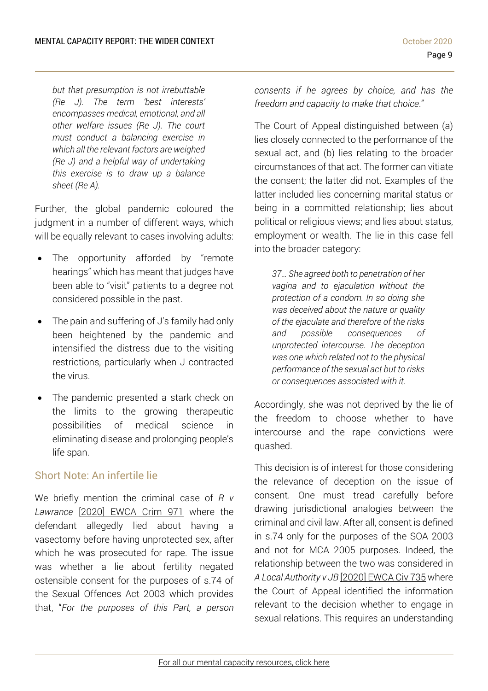*but that presumption is not irrebuttable (Re J). The term 'best interests' encompasses medical, emotional, and all other welfare issues (Re J). The court must conduct a balancing exercise in which all the relevant factors are weighed (Re J) and a helpful way of undertaking this exercise is to draw up a balance sheet (Re A).*

Further, the global pandemic coloured the judgment in a number of different ways, which will be equally relevant to cases involving adults:

- The opportunity afforded by "remote hearings" which has meant that judges have been able to "visit" patients to a degree not considered possible in the past.
- The pain and suffering of J's family had only been heightened by the pandemic and intensified the distress due to the visiting restrictions, particularly when J contracted the virus.
- The pandemic presented a stark check on the limits to the growing therapeutic possibilities of medical science in eliminating disease and prolonging people's life span.

### <span id="page-8-0"></span>Short Note: An infertile lie

We briefly mention the criminal case of *R v Lawrance* [\[2020\]](https://www.bailii.org/ew/cases/EWCA/Crim/2020/971.html) EWCA Crim 971 where the defendant allegedly lied about having a vasectomy before having unprotected sex, after which he was prosecuted for rape. The issue was whether a lie about fertility negated ostensible consent for the purposes of s.74 of the Sexual Offences Act 2003 which provides that, "*For the purposes of this Part, a person* *consents if he agrees by choice, and has the freedom and capacity to make that choice*."

The Court of Appeal distinguished between (a) lies closely connected to the performance of the sexual act, and (b) lies relating to the broader circumstances of that act. The former can vitiate the consent; the latter did not. Examples of the latter included lies concerning marital status or being in a committed relationship; lies about political or religious views; and lies about status, employment or wealth. The lie in this case fell into the broader category:

*37… She agreed both to penetration of her vagina and to ejaculation without the protection of a condom. In so doing she was deceived about the nature or quality of the ejaculate and therefore of the risks and possible consequences of unprotected intercourse. The deception was one which related not to the physical performance of the sexual act but to risks or consequences associated with it.*

Accordingly, she was not deprived by the lie of the freedom to choose whether to have intercourse and the rape convictions were quashed.

This decision is of interest for those considering the relevance of deception on the issue of consent. One must tread carefully before drawing jurisdictional analogies between the criminal and civil law. After all, consent is defined in s.74 only for the purposes of the SOA 2003 and not for MCA 2005 purposes. Indeed, the relationship between the two was considered in *A Local Authority v JB* [\[2020\]](https://www.39essex.com/cop_cases/a-local-authority-v-jb-2/) EWCA Civ 735 where the Court of Appeal identified the information relevant to the decision whether to engage in sexual relations. This requires an understanding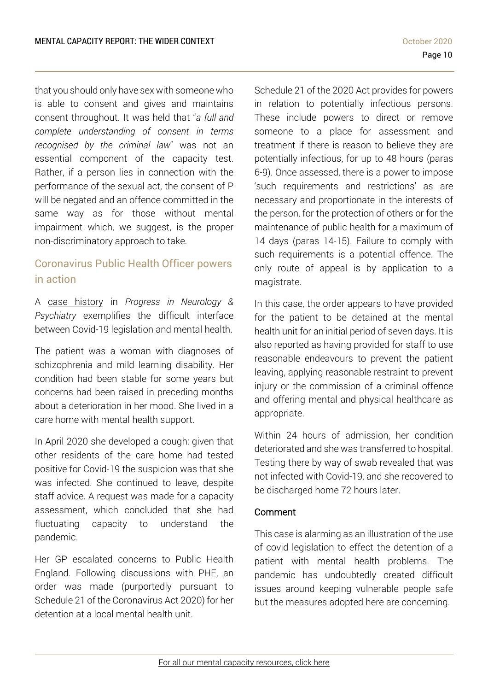that you should only have sex with someone who is able to consent and gives and maintains consent throughout. It was held that "*a full and complete understanding of consent in terms recognised by the criminal law*" was not an essential component of the capacity test. Rather, if a person lies in connection with the performance of the sexual act, the consent of P will be negated and an offence committed in the same way as for those without mental impairment which, we suggest, is the proper non-discriminatory approach to take.

# <span id="page-9-0"></span>Coronavirus Public Health Officer powers in action

A case [history](https://onlinelibrary.wiley.com/doi/pdf/10.1002/pnp.671) in *Progress in Neurology & Psychiatry* exemplifies the difficult interface between Covid-19 legislation and mental health.

The patient was a woman with diagnoses of schizophrenia and mild learning disability. Her condition had been stable for some years but concerns had been raised in preceding months about a deterioration in her mood. She lived in a care home with mental health support.

In April 2020 she developed a cough: given that other residents of the care home had tested positive for Covid-19 the suspicion was that she was infected. She continued to leave, despite staff advice. A request was made for a capacity assessment, which concluded that she had fluctuating capacity to understand the pandemic.

Her GP escalated concerns to Public Health England. Following discussions with PHE, an order was made (purportedly pursuant to Schedule 21 of the Coronavirus Act 2020) for her detention at a local mental health unit.

Schedule 21 of the 2020 Act provides for powers in relation to potentially infectious persons. These include powers to direct or remove someone to a place for assessment and treatment if there is reason to believe they are potentially infectious, for up to 48 hours (paras 6-9). Once assessed, there is a power to impose 'such requirements and restrictions' as are necessary and proportionate in the interests of the person, for the protection of others or for the maintenance of public health for a maximum of 14 days (paras 14-15). Failure to comply with such requirements is a potential offence. The only route of appeal is by application to a magistrate.

In this case, the order appears to have provided for the patient to be detained at the mental health unit for an initial period of seven days. It is also reported as having provided for staff to use reasonable endeavours to prevent the patient leaving, applying reasonable restraint to prevent injury or the commission of a criminal offence and offering mental and physical healthcare as appropriate.

Within 24 hours of admission, her condition deteriorated and she was transferred to hospital. Testing there by way of swab revealed that was not infected with Covid-19, and she recovered to be discharged home 72 hours later.

### Comment

This case is alarming as an illustration of the use of covid legislation to effect the detention of a patient with mental health problems. The pandemic has undoubtedly created difficult issues around keeping vulnerable people safe but the measures adopted here are concerning.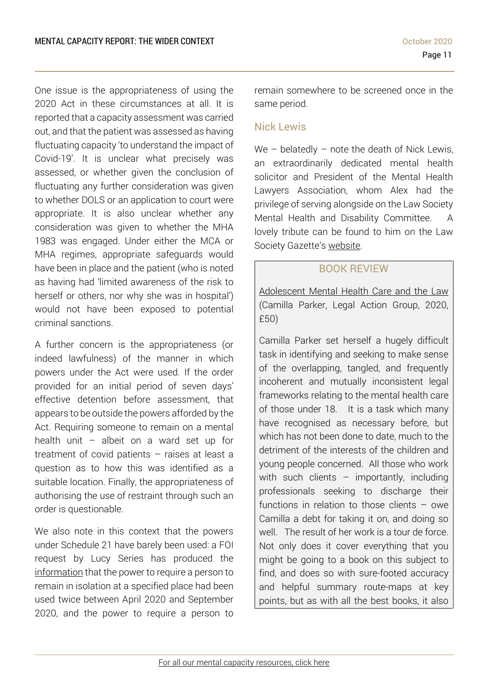One issue is the appropriateness of using the 2020 Act in these circumstances at all. It is reported that a capacity assessment was carried out, and that the patient was assessed as having fluctuating capacity 'to understand the impact of Covid-19'. It is unclear what precisely was assessed, or whether given the conclusion of fluctuating any further consideration was given to whether DOLS or an application to court were appropriate. It is also unclear whether any consideration was given to whether the MHA 1983 was engaged. Under either the MCA or MHA regimes, appropriate safeguards would have been in place and the patient (who is noted as having had 'limited awareness of the risk to herself or others, nor why she was in hospital') would not have been exposed to potential criminal sanctions.

A further concern is the appropriateness (or indeed lawfulness) of the manner in which powers under the Act were used. If the order provided for an initial period of seven days' effective detention before assessment, that appears to be outside the powers afforded by the Act. Requiring someone to remain on a mental health unit – albeit on a ward set up for treatment of covid patients – raises at least a question as to how this was identified as a suitable location. Finally, the appropriateness of authorising the use of restraint through such an order is questionable.

We also note in this context that the powers under Schedule 21 have barely been used: a FOI request by Lucy Series has produced the [information](https://www.mentalcapacitylawandpolicy.org.uk/wp-content/uploads/2020/10/1207-FOI-uses-of-public-health-powers-of-detention-during-the-pandemic.pdf) that the power to require a person to remain in isolation at a specified place had been used twice between April 2020 and September 2020, and the power to require a person to remain somewhere to be screened once in the same period.

### <span id="page-10-0"></span>Nick Lewis

We – belatedly – note the death of Nick Lewis, an extraordinarily dedicated mental health solicitor and President of the Mental Health Lawyers Association, whom Alex had the privilege of serving alongside on the Law Society Mental Health and Disability Committee. A lovely tribute can be found to him on the Law Society Gazette's [website.](https://www.lawgazette.co.uk/news/tribute-nick-lewis-solicitor-and-intrepid-sailor/5105657.article)

### BOOK REVIEW

<span id="page-10-1"></span>[Adolescent](https://www.lag.org.uk/shop/book-title/208732/adolescent-mental-health-care-and-the-law) Mental Health Care and the Law (Camilla Parker, Legal Action Group, 2020, £50)

Camilla Parker set herself a hugely difficult task in identifying and seeking to make sense of the overlapping, tangled, and frequently incoherent and mutually inconsistent legal frameworks relating to the mental health care of those under 18. It is a task which many have recognised as necessary before, but which has not been done to date, much to the detriment of the interests of the children and young people concerned. All those who work with such clients  $-$  importantly, including professionals seeking to discharge their functions in relation to those clients – owe Camilla a debt for taking it on, and doing so well. The result of her work is a tour de force. Not only does it cover everything that you might be going to a book on this subject to find, and does so with sure-footed accuracy and helpful summary route-maps at key points, but as with all the best books, it also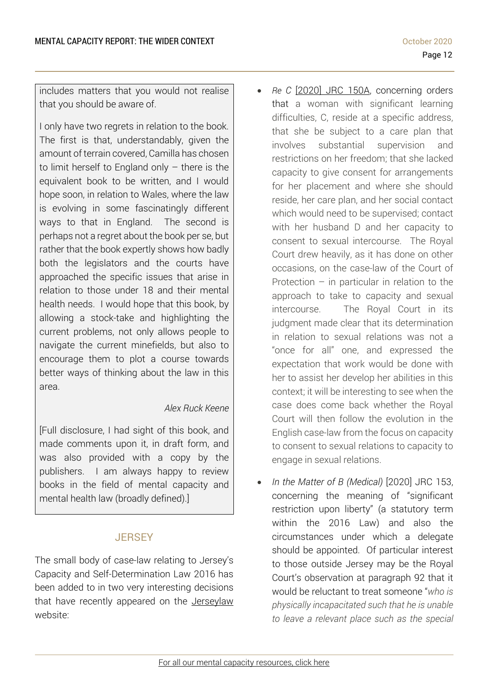includes matters that you would not realise that you should be aware of.

I only have two regrets in relation to the book. The first is that, understandably, given the amount of terrain covered, Camilla has chosen to limit herself to England only  $-$  there is the equivalent book to be written, and I would hope soon, in relation to Wales, where the law is evolving in some fascinatingly different ways to that in England. The second is perhaps not a regret about the book per se, but rather that the book expertly shows how badly both the legislators and the courts have approached the specific issues that arise in relation to those under 18 and their mental health needs. I would hope that this book, by allowing a stock-take and highlighting the current problems, not only allows people to navigate the current minefields, but also to encourage them to plot a course towards better ways of thinking about the law in this area.

### *Alex Ruck Keene*

[Full disclosure, I had sight of this book, and made comments upon it, in draft form, and was also provided with a copy by the publishers. I am always happy to review books in the field of mental capacity and mental health law (broadly defined).]

## **JERSEY**

<span id="page-11-0"></span>The small body of case-law relating to Jersey's Capacity and Self-Determination Law 2016 has been added to in two very interesting decisions that have recently appeared on the [Jerseylaw](https://www.jerseylaw.je/Pages/default.aspx) website:

- *Re C* [\[2020\]](https://www.jerseylaw.je/judgments/unreported/Pages/%5b2020%5dJRC150A.aspx) JRC 150A, concerning orders that a woman with significant learning difficulties, C, reside at a specific address, that she be subject to a care plan that involves substantial supervision and restrictions on her freedom; that she lacked capacity to give consent for arrangements for her placement and where she should reside, her care plan, and her social contact which would need to be supervised; contact with her husband D and her capacity to consent to sexual intercourse. The Royal Court drew heavily, as it has done on other occasions, on the case-law of the Court of Protection  $-$  in particular in relation to the approach to take to capacity and sexual intercourse. The Royal Court in its judgment made clear that its determination in relation to sexual relations was not a "once for all" one, and expressed the expectation that work would be done with her to assist her develop her abilities in this context; it will be interesting to see when the case does come back whether the Royal Court will then follow the evolution in the English case-law from the focus on capacity to consent to sexual relations to capacity to engage in sexual relations.
- *In the Matter of B (Medical)* [2020] JRC 153, concerning the meaning of "significant restriction upon liberty" (a statutory term within the 2016 Law) and also the circumstances under which a delegate should be appointed. Of particular interest to those outside Jersey may be the Royal Court's observation at paragraph 92 that it would be reluctant to treat someone "*who is physically incapacitated such that he is unable to leave a relevant place such as the special*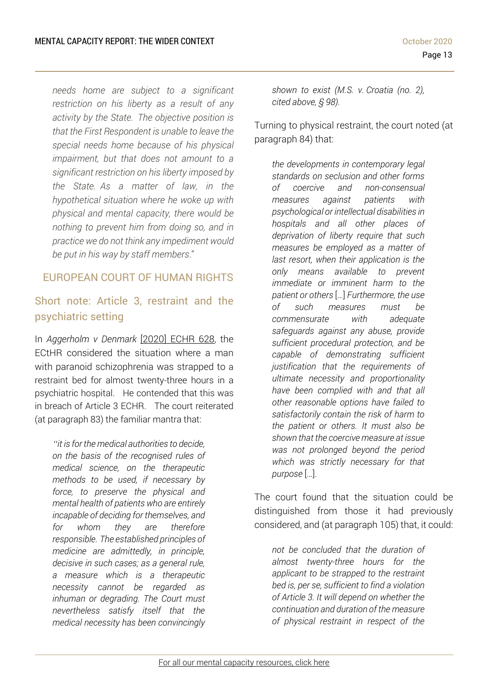*needs home are subject to a significant restriction on his liberty as a result of any activity by the State. The objective position is that the First Respondent is unable to leave the special needs home because of his physical impairment, but that does not amount to a significant restriction on his liberty imposed by the State. As a matter of law, in the hypothetical situation where he woke up with physical and mental capacity, there would be nothing to prevent him from doing so, and in practice we do not think any impediment would be put in his way by staff members*."

### <span id="page-12-0"></span>EUROPEAN COURT OF HUMAN RIGHTS

## <span id="page-12-1"></span>Short note: Article 3, restraint and the psychiatric setting

In *Aggerholm v Denmark* [\[2020\]](https://www.bailii.org/eu/cases/ECHR/2020/628.html) ECHR 628, the ECtHR considered the situation where a man with paranoid schizophrenia was strapped to a restraint bed for almost twenty-three hours in a psychiatric hospital. He contended that this was in breach of Article 3 ECHR. The court reiterated (at paragraph 83) the familiar mantra that:

*"it is for the medical authorities to decide, on the basis of the recognised rules of medical science, on the therapeutic methods to be used, if necessary by force, to preserve the physical and mental health of patients who are entirely incapable of deciding for themselves, and for whom they are therefore responsible. The established principles of medicine are admittedly, in principle, decisive in such cases; as a general rule, a measure which is a therapeutic necessity cannot be regarded as inhuman or degrading. The Court must nevertheless satisfy itself that the medical necessity has been convincingly*  *shown to exist (M.S. v. Croatia (no. 2), cited above, § 98).*

Turning to physical restraint, the court noted (at paragraph 84) that:

*the developments in contemporary legal standards on seclusion and other forms of coercive and non-consensual measures against patients with psychological or intellectual disabilities in hospitals and all other places of deprivation of liberty require that such measures be employed as a matter of last resort, when their application is the only means available to prevent immediate or imminent harm to the patient or others* […] *Furthermore, the use of such measures must be commensurate with adequate safeguards against any abuse, provide sufficient procedural protection, and be capable of demonstrating sufficient justification that the requirements of ultimate necessity and proportionality have been complied with and that all other reasonable options have failed to satisfactorily contain the risk of harm to the patient or others. It must also be shown that the coercive measure at issue was not prolonged beyond the period which was strictly necessary for that purpose* […].

The court found that the situation could be distinguished from those it had previously considered, and (at paragraph 105) that, it could:

*not be concluded that the duration of almost twenty-three hours for the applicant to be strapped to the restraint bed is, per se, sufficient to find a violation of Article 3. It will depend on whether the continuation and duration of the measure of physical restraint in respect of the*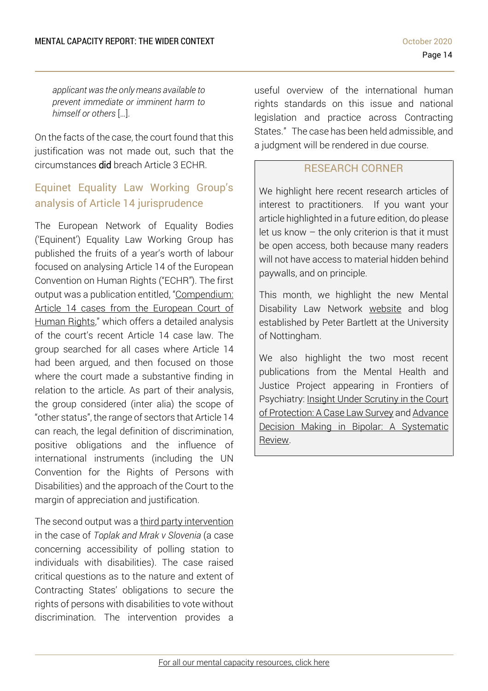*applicant was the only means available to prevent immediate or imminent harm to himself or others* […].

On the facts of the case, the court found that this justification was not made out, such that the circumstances did breach Article 3 ECHR.

## <span id="page-13-0"></span>Equinet Equality Law Working Group's analysis of Article 14 jurisprudence

The European Network of Equality Bodies ('Equinent') Equality Law Working Group has published the fruits of a year's worth of labour focused on analysing Article 14 of the European Convention on Human Rights ("ECHR"). The first output was a publication entitled, "[Compendium:](https://equineteurope.org/2020/equinet-at-work-the-compendium-article-14-cases/) Article 14 cases from the [European](https://equineteurope.org/2020/equinet-at-work-the-compendium-article-14-cases/) Court of [Human](https://equineteurope.org/2020/equinet-at-work-the-compendium-article-14-cases/) Rights," which offers a detailed analysis of the court's recent Article 14 case law. The group searched for all cases where Article 14 had been argued, and then focused on those where the court made a substantive finding in relation to the article. As part of their analysis, the group considered (inter alia) the scope of "other status", the range of sectors that Article 14 can reach, the legal definition of discrimination, positive obligations and the influence of international instruments (including the UN Convention for the Rights of Persons with Disabilities) and the approach of the Court to the margin of appreciation and justification.

The second output was a third party [intervention](https://equineteurope.org/wp-content/uploads/2020/07/FINAL_-TPI-28-07-2020.pdf) in the case of *Toplak and Mrak v Slovenia* (a case concerning accessibility of polling station to individuals with disabilities). The case raised critical questions as to the nature and extent of Contracting States' obligations to secure the rights of persons with disabilities to vote without discrimination. The intervention provides a useful overview of the international human rights standards on this issue and national legislation and practice across Contracting States." The case has been held admissible, and a judgment will be rendered in due course.

### RESEARCH CORNER

<span id="page-13-1"></span>We highlight here recent research articles of interest to practitioners. If you want your article highlighted in a future edition, do please let us know – the only criterion is that it must be open access, both because many readers will not have access to material hidden behind paywalls, and on principle.

This month, we highlight the new Mental Disability Law Network [website](https://institutemh.org.uk/mentaldiversitylawnetwork) and blog established by Peter Bartlett at the University of Nottingham.

We also highlight the two most recent publications from the Mental Health and Justice Project appearing in Frontiers of Psychiatry: Insight Under [Scrutiny](https://www.frontiersin.org/articles/10.3389/fpsyt.2020.560329/full) in the Court of [Protection:](https://www.frontiersin.org/articles/10.3389/fpsyt.2020.560329/full) A Case Law Survey and [Advance](https://www.frontiersin.org/articles/10.3389/fpsyt.2020.538107/full) Decision Making in Bipolar: A [Systematic](https://www.frontiersin.org/articles/10.3389/fpsyt.2020.538107/full) [Review.](https://www.frontiersin.org/articles/10.3389/fpsyt.2020.538107/full)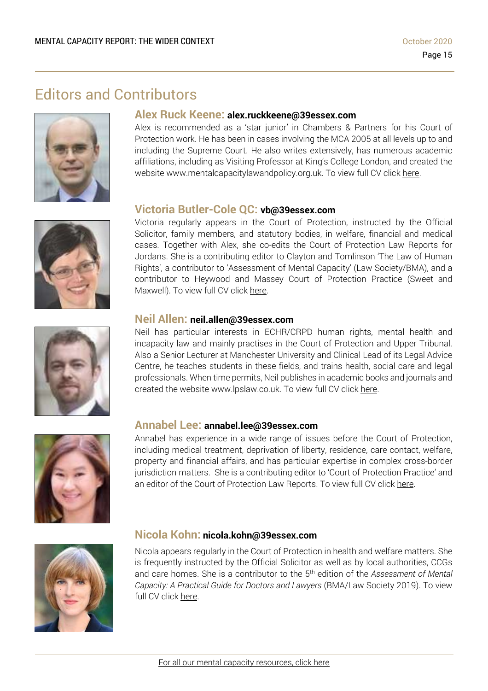# Editors and Contributors







### **Alex Ruck Keene: alex.ruckkeene@39essex.com**

Alex is recommended as a 'star junior' in Chambers & Partners for his Court of Protection work. He has been in cases involving the MCA 2005 at all levels up to and including the Supreme Court. He also writes extensively, has numerous academic affiliations, including as Visiting Professor at King's College London, and created the website www.mentalcapacitylawandpolicy.org.uk. To view full CV click [here.](http://www.39essex.com/barrister/alexander-ruck-keene/)

### **Victoria Butler-Cole QC: vb@39essex.com**

Victoria regularly appears in the Court of Protection, instructed by the Official Solicitor, family members, and statutory bodies, in welfare, financial and medical cases. Together with Alex, she co-edits the Court of Protection Law Reports for Jordans. She is a contributing editor to Clayton and Tomlinson 'The Law of Human Rights', a contributor to 'Assessment of Mental Capacity' (Law Society/BMA), and a contributor to Heywood and Massey Court of Protection Practice (Sweet and Maxwell). To view full CV click [here.](http://www.39essex.com/barrister/victoria-butler-cole/)

### **Neil Allen: neil.allen@39essex.com**

Neil has particular interests in ECHR/CRPD human rights, mental health and incapacity law and mainly practises in the Court of Protection and Upper Tribunal. Also a Senior Lecturer at Manchester University and Clinical Lead of its Legal Advice Centre, he teaches students in these fields, and trains health, social care and legal professionals. When time permits, Neil publishes in academic books and journals and created the website www.lpslaw.co.uk. To view full CV click [here.](http://www.39essex.com/barrister/neil-allen/)



### **Annabel Lee: annabel.lee@39essex.com**

Annabel has experience in a wide range of issues before the Court of Protection, including medical treatment, deprivation of liberty, residence, care contact, welfare, property and financial affairs, and has particular expertise in complex cross-border jurisdiction matters. She is a contributing editor to 'Court of Protection Practice' and an editor of the Court of Protection Law Reports. To view full CV click [here.](http://www.39essex.com/barrister/annabel-lee/)



### **Nicola Kohn: nicola.kohn@39essex.com**

Nicola appears regularly in the Court of Protection in health and welfare matters. She is frequently instructed by the Official Solicitor as well as by local authorities, CCGs and care homes. She is a contributor to the 5 th edition of the *Assessment of Mental Capacity: A Practical Guide for Doctors and Lawyers* (BMA/Law Society 2019). To view full CV click [here.](http://www.39essex.com/barrister/nicola-kohn/)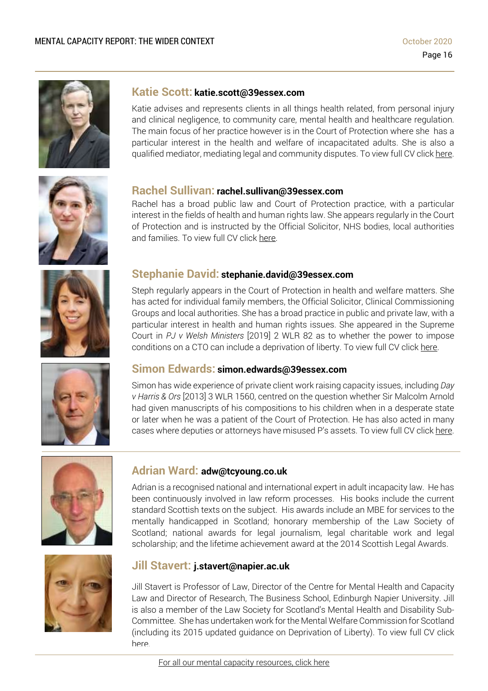

### **Katie Scott: katie.scott@39essex.com**

Katie advises and represents clients in all things health related, from personal injury and clinical negligence, to community care, mental health and healthcare regulation. The main focus of her practice however is in the Court of Protection where she has a particular interest in the health and welfare of incapacitated adults. She is also a qualified mediator, mediating legal and community disputes. To view full CV click [here.](http://www.39essex.com/barrister/katharine-scott/)



### **Rachel Sullivan: rachel.sullivan@39essex.com**

Rachel has a broad public law and Court of Protection practice, with a particular interest in the fields of health and human rights law. She appears regularly in the Court of Protection and is instructed by the Official Solicitor, NHS bodies, local authorities and families. To view full CV click [here.](https://www.39essex.com/barrister/rachel-sullivan/)



### **Stephanie David: stephanie.david@39essex.com**

Steph regularly appears in the Court of Protection in health and welfare matters. She has acted for individual family members, the Official Solicitor, Clinical Commissioning Groups and local authorities. She has a broad practice in public and private law, with a particular interest in health and human rights issues. She appeared in the Supreme Court in *PJ v Welsh Ministers* [2019] 2 WLR 82 as to whether the power to impose conditions on a CTO can include a deprivation of liberty. To view full CV click [here.](http://www.39essex.com/barrister/simon-edwards/)



### **Simon Edwards: simon.edwards@39essex.com**

Simon has wide experience of private client work raising capacity issues, including *Day v Harris & Ors* [2013] 3 WLR 1560, centred on the question whether Sir Malcolm Arnold had given manuscripts of his compositions to his children when in a desperate state or later when he was a patient of the Court of Protection. He has also acted in many cases where deputies or attorneys have misused P's assets. To view full CV click [here.](http://www.39essex.com/barrister/simon-edwards/)



### **Adrian Ward: adw@tcyoung.co.uk**

Adrian is a recognised national and international expert in adult incapacity law. He has been continuously involved in law reform processes. His books include the current standard Scottish texts on the subject. His awards include an MBE for services to the mentally handicapped in Scotland; honorary membership of the Law Society of Scotland; national awards for legal journalism, legal charitable work and legal scholarship; and the lifetime achievement award at the 2014 Scottish Legal Awards.



### **Jill Stavert: j.stavert@napier.ac.uk**

Jill Stavert is Professor of Law, Director of the Centre for Mental Health and Capacity Law and Director of Research, The Business School, Edinburgh Napier University. Jill is also a member of the Law Society for Scotland's Mental Health and Disability Sub-Committee. She has undertaken work for the Mental Welfare Commission for Scotland (including its 2015 updated guidance on Deprivation of Liberty). To view full CV click [here.](http://www.napier.ac.uk/people/jill-stavert)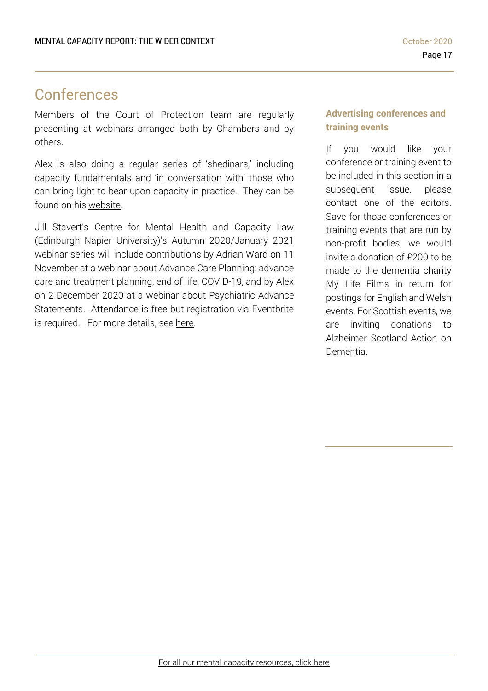# Conferences

Members of the Court of Protection team are regularly presenting at webinars arranged both by Chambers and by others.

Alex is also doing a regular series of 'shedinars,' including capacity fundamentals and 'in conversation with' those who can bring light to bear upon capacity in practice. They can be found on his [website.](https://www.mentalcapacitylawandpolicy.org.uk/)

Jill Stavert's Centre for Mental Health and Capacity Law (Edinburgh Napier University)'s Autumn 2020/January 2021 webinar series will include contributions by Adrian Ward on 11 November at a webinar about Advance Care Planning: advance care and treatment planning, end of life, COVID-19, and by Alex on 2 December 2020 at a webinar about Psychiatric Advance Statements. Attendance is free but registration via Eventbrite is required. For more details, see [here.](https://www.eventbrite.com/o/centre-for-mental-health-and-capacity-law-17961863028)

### **Advertising conferences and training events**

If you would like your conference or training event to be included in this section in a subsequent issue, please contact one of the editors. Save for those conferences or training events that are run by non-profit bodies, we would invite a donation of £200 to be made to the dementia charity My Life Films in return for postings for English and Welsh events. For Scottish events, we are inviting donations to Alzheimer Scotland Action on Dementia.